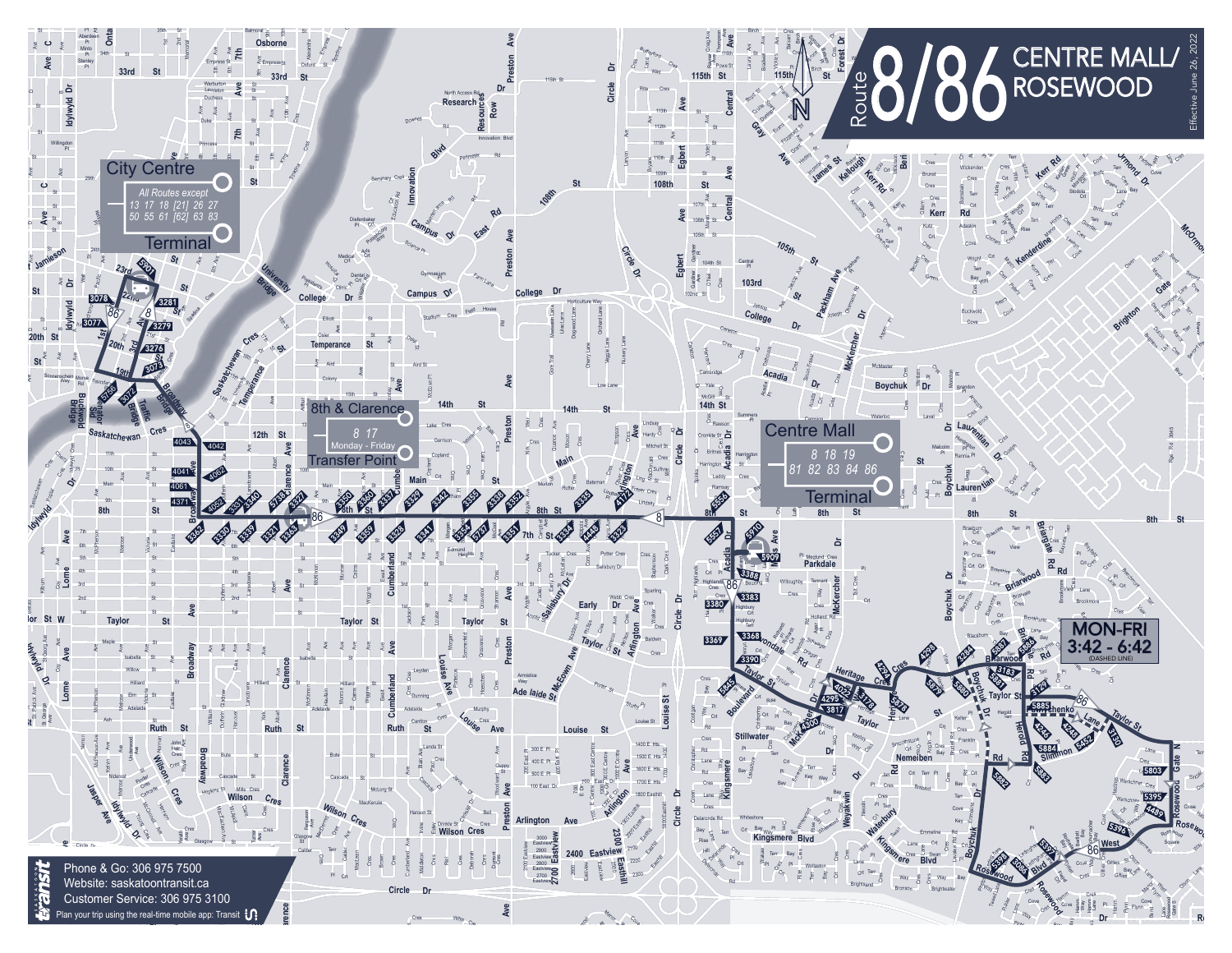